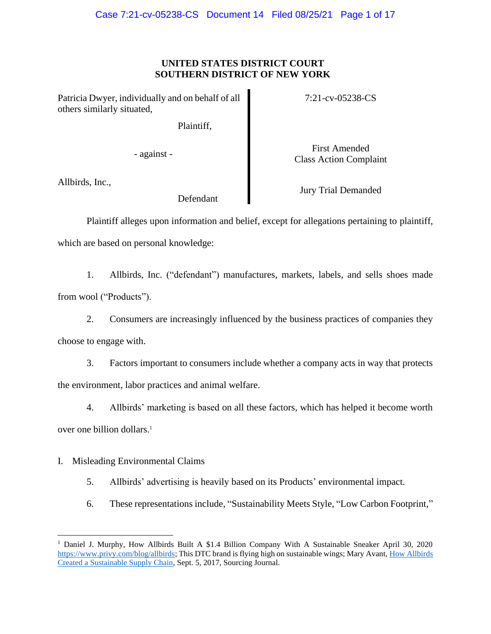### **UNITED STATES DISTRICT COURT SOUTHERN DISTRICT OF NEW YORK**

Patricia Dwyer, individually and on behalf of all others similarly situated,

Plaintiff,

7:21-cv-05238-CS

- against -

First Amended Class Action Complaint

Allbirds, Inc.,

Defendant

Jury Trial Demanded

Plaintiff alleges upon information and belief, except for allegations pertaining to plaintiff, which are based on personal knowledge:

1. Allbirds, Inc. ("defendant") manufactures, markets, labels, and sells shoes made from wool ("Products").

2. Consumers are increasingly influenced by the business practices of companies they choose to engage with.

3. Factors important to consumers include whether a company acts in way that protects the environment, labor practices and animal welfare.

4. Allbirds' marketing is based on all these factors, which has helped it become worth over one billion dollars. 1

I. Misleading Environmental Claims

5. Allbirds' advertising is heavily based on its Products' environmental impact.

6. These representations include, "Sustainability Meets Style, "Low Carbon Footprint,"

<sup>&</sup>lt;sup>1</sup> Daniel J. Murphy, How Allbirds Built A \$1.4 Billion Company With A Sustainable Sneaker April 30, 2020 [https://www.privy.com/blog/allbirds;](https://www.privy.com/blog/allbirds) This DTC brand is flying high on sustainable wings; Mary Avant, How Allbirds [Created a Sustainable Supply Chain,](https://sourcingjournal.com/footwear/footwear-brands/allbirdss-kickstarter-success-story-98945/) Sept. 5, 2017, Sourcing Journal.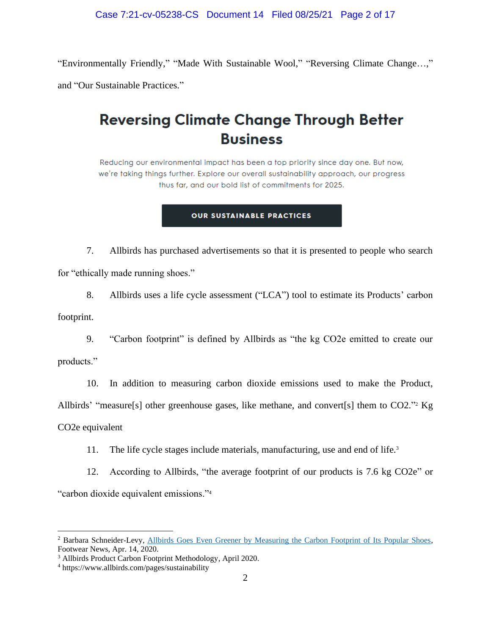"Environmentally Friendly," "Made With Sustainable Wool," "Reversing Climate Change…," and "Our Sustainable Practices."

# **Reversing Climate Change Through Better Business**

Reducing our environmental impact has been a top priority since day one. But now, we're taking things further. Explore our overall sustainability approach, our progress thus far, and our bold list of commitments for 2025.

#### **OUR SUSTAINABLE PRACTICES**

7. Allbirds has purchased advertisements so that it is presented to people who search for "ethically made running shoes."

8. Allbirds uses a life cycle assessment ("LCA") tool to estimate its Products' carbon footprint.

9. "Carbon footprint" is defined by Allbirds as "the kg CO2e emitted to create our products."

10. In addition to measuring carbon dioxide emissions used to make the Product, Allbirds' "measure[s] other greenhouse gases, like methane, and convert[s] them to CO2."<sup>2</sup> Kg CO2e equivalent

11. The life cycle stages include materials, manufacturing, use and end of life.<sup>3</sup>

12. According to Allbirds, "the average footprint of our products is 7.6 kg CO2e" or "carbon dioxide equivalent emissions."<sup>4</sup>

<sup>&</sup>lt;sup>2</sup> Barbara Schneider-Levy, Allbirds [Goes Even Greener by Measuring the Carbon Footprint of Its Popular Shoes,](https://footwearnews.com/2020/focus/sustainability/allbirds-sustainable-shoes-measure-carbon-footprint-1202966427/) Footwear News, Apr. 14, 2020.

<sup>3</sup> Allbirds Product Carbon Footprint Methodology, April 2020.

<sup>4</sup> https://www.allbirds.com/pages/sustainability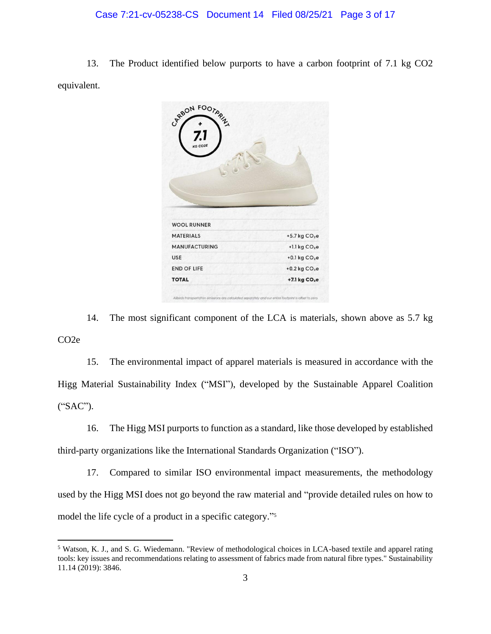#### Case 7:21-cv-05238-CS Document 14 Filed 08/25/21 Page 3 of 17

13. The Product identified below purports to have a carbon footprint of 7.1 kg CO2 equivalent.



14. The most significant component of the LCA is materials, shown above as 5.7 kg CO2e

15. The environmental impact of apparel materials is measured in accordance with the Higg Material Sustainability Index ("MSI"), developed by the Sustainable Apparel Coalition ("SAC").

16. The Higg MSI purports to function as a standard, like those developed by established third-party organizations like the International Standards Organization ("ISO").

17. Compared to similar ISO environmental impact measurements, the methodology used by the Higg MSI does not go beyond the raw material and "provide detailed rules on how to model the life cycle of a product in a specific category." 5

<sup>5</sup> Watson, K. J., and S. G. Wiedemann. "Review of methodological choices in LCA-based textile and apparel rating tools: key issues and recommendations relating to assessment of fabrics made from natural fibre types." Sustainability 11.14 (2019): 3846.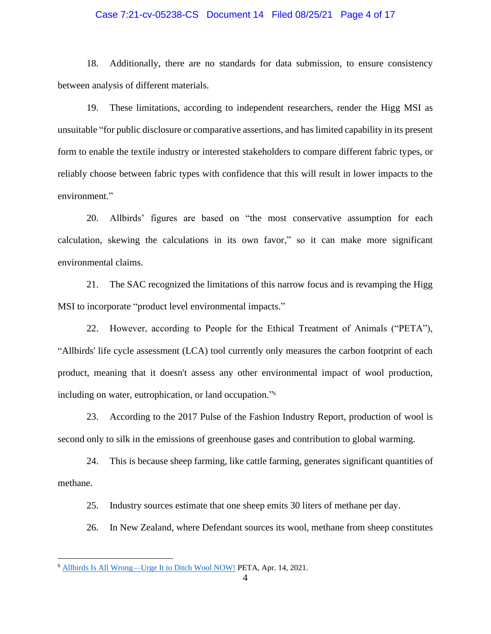#### Case 7:21-cv-05238-CS Document 14 Filed 08/25/21 Page 4 of 17

18. Additionally, there are no standards for data submission, to ensure consistency between analysis of different materials.

19. These limitations, according to independent researchers, render the Higg MSI as unsuitable "for public disclosure or comparative assertions, and has limited capability in its present form to enable the textile industry or interested stakeholders to compare different fabric types, or reliably choose between fabric types with confidence that this will result in lower impacts to the environment."

20. Allbirds' figures are based on "the most conservative assumption for each calculation, skewing the calculations in its own favor," so it can make more significant environmental claims.

21. The SAC recognized the limitations of this narrow focus and is revamping the Higg MSI to incorporate "product level environmental impacts."

22. However, according to People for the Ethical Treatment of Animals ("PETA"), "Allbirds' life cycle assessment (LCA) tool currently only measures the carbon footprint of each product, meaning that it doesn't assess any other environmental impact of wool production, including on water, eutrophication, or land occupation." 6

23. According to the 2017 Pulse of the Fashion Industry Report, production of wool is second only to silk in the emissions of greenhouse gases and contribution to global warming.

24. This is because sheep farming, like cattle farming, generates significant quantities of methane.

25. Industry sources estimate that one sheep emits 30 liters of methane per day.

26. In New Zealand, where Defendant sources its wool, methane from sheep constitutes

<sup>6</sup> [Allbirds Is All Wrong—Urge It to Ditch Wool NOW!](https://support.peta.org/page/23478/action/1?locale=en-US) PETA, Apr. 14, 2021.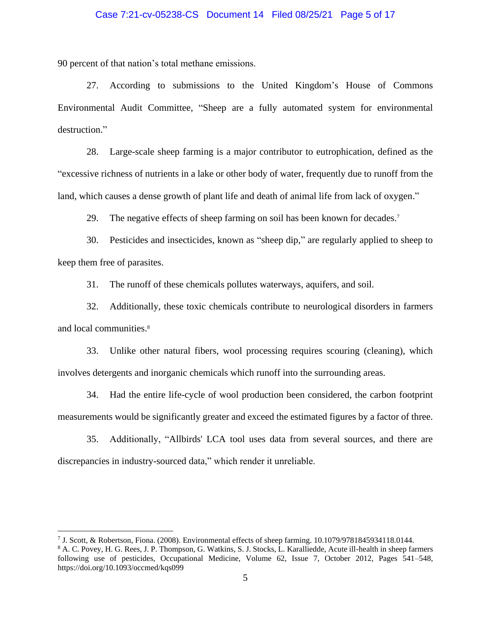#### Case 7:21-cv-05238-CS Document 14 Filed 08/25/21 Page 5 of 17

90 percent of that nation's total methane emissions.

27. According to submissions to the United Kingdom's House of Commons Environmental Audit Committee, "Sheep are a fully automated system for environmental destruction."

28. Large-scale sheep farming is a major contributor to eutrophication, defined as the "excessive richness of nutrients in a lake or other body of water, frequently due to runoff from the land, which causes a dense growth of plant life and death of animal life from lack of oxygen."

29. The negative effects of sheep farming on soil has been known for decades.<sup>7</sup>

30. Pesticides and insecticides, known as "sheep dip," are regularly applied to sheep to keep them free of parasites.

31. The runoff of these chemicals pollutes waterways, aquifers, and soil.

32. Additionally, these toxic chemicals contribute to neurological disorders in farmers and local communities. 8

33. Unlike other natural fibers, wool processing requires scouring (cleaning), which involves detergents and inorganic chemicals which runoff into the surrounding areas.

34. Had the entire life-cycle of wool production been considered, the carbon footprint measurements would be significantly greater and exceed the estimated figures by a factor of three.

35. Additionally, "Allbirds' LCA tool uses data from several sources, and there are discrepancies in industry-sourced data," which render it unreliable.

<sup>7</sup> J. Scott, & Robertson, Fiona. (2008). Environmental effects of sheep farming. 10.1079/9781845934118.0144.

<sup>8</sup> A. C. Povey, H. G. Rees, J. P. Thompson, G. Watkins, S. J. Stocks, L. Karalliedde, Acute ill-health in sheep farmers following use of pesticides, Occupational Medicine, Volume 62, Issue 7, October 2012, Pages 541–548, https://doi.org/10.1093/occmed/kqs099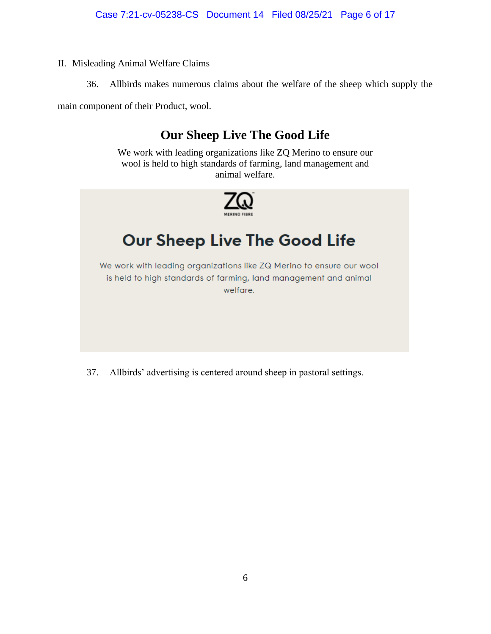- II. Misleading Animal Welfare Claims
	- 36. Allbirds makes numerous claims about the welfare of the sheep which supply the

main component of their Product, wool.

# **Our Sheep Live The Good Life**

We work with leading organizations like ZQ Merino to ensure our wool is held to high standards of farming, land management and animal welfare.



# Our Sheep Live The Good Life

We work with leading organizations like ZQ Merino to ensure our wool is held to high standards of farming, land management and animal welfare.

37. Allbirds' advertising is centered around sheep in pastoral settings.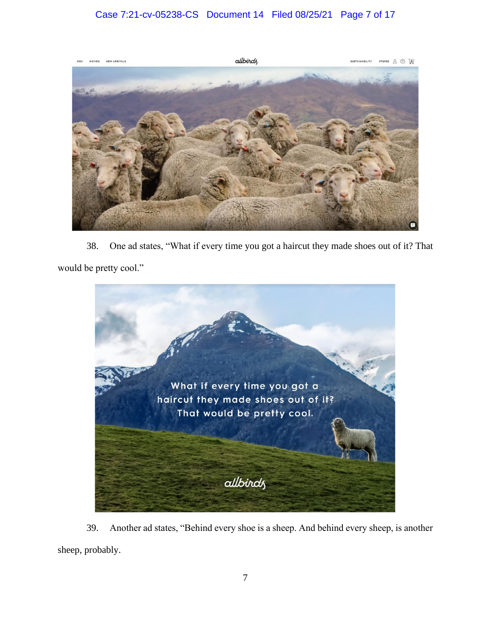## Case 7:21-cv-05238-CS Document 14 Filed 08/25/21 Page 7 of 17



38. One ad states, "What if every time you got a haircut they made shoes out of it? That would be pretty cool."



39. Another ad states, "Behind every shoe is a sheep. And behind every sheep, is another sheep, probably.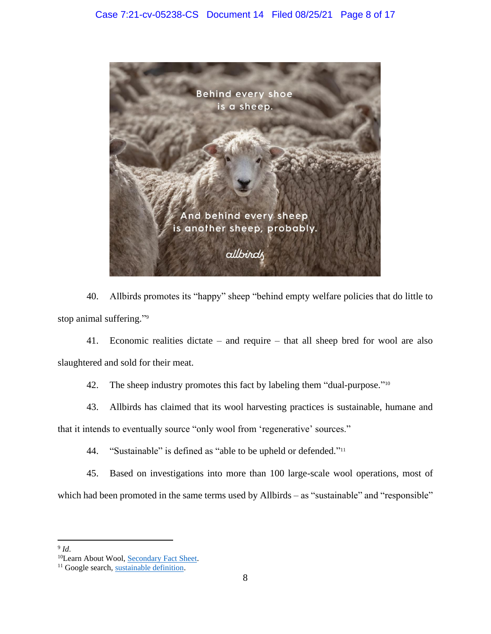

40. Allbirds promotes its "happy" sheep "behind empty welfare policies that do little to stop animal suffering." 9

41. Economic realities dictate – and require – that all sheep bred for wool are also slaughtered and sold for their meat.

42. The sheep industry promotes this fact by labeling them "dual-purpose."<sup>10</sup>

43. Allbirds has claimed that its wool harvesting practices is sustainable, humane and that it intends to eventually source "only wool from 'regenerative' sources."

44. "Sustainable" is defined as "able to be upheld or defended."<sup>11</sup>

45. Based on investigations into more than 100 large-scale wool operations, most of which had been promoted in the same terms used by Allbirds – as "sustainable" and "responsible"

<sup>9</sup> *Id*.

<sup>&</sup>lt;sup>10</sup>Learn About Wool, [Secondary Fact Sheet.](https://www.learnaboutwool.com/globalassets/law/resources/factsheets/secondary/gd3270-secondary-fact-sheet_2019_d.pdf)

<sup>&</sup>lt;sup>11</sup> Google search[, sustainable definition.](https://www.google.com/search?q=sustainable+definition&rlz=1C1GCEA_enUS893US893&oq=sustainable+defi&aqs=chrome.1.69i57j0i433j0l8.3559j1j9&sourceid=chrome&ie=UTF-8)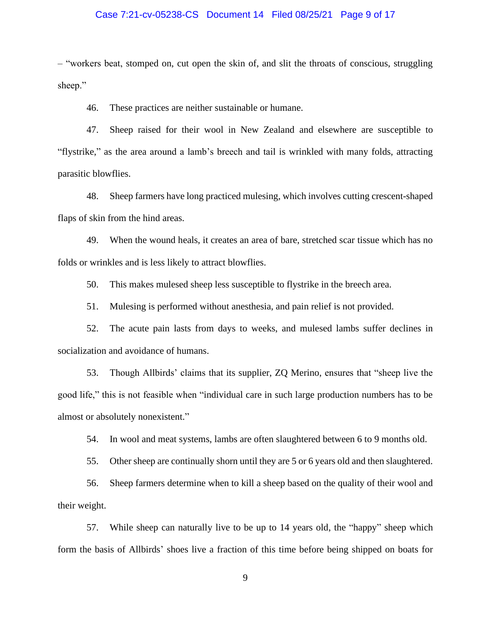#### Case 7:21-cv-05238-CS Document 14 Filed 08/25/21 Page 9 of 17

– "workers beat, stomped on, cut open the skin of, and slit the throats of conscious, struggling sheep."

46. These practices are neither sustainable or humane.

47. Sheep raised for their wool in New Zealand and elsewhere are susceptible to "flystrike," as the area around a lamb's breech and tail is wrinkled with many folds, attracting parasitic blowflies.

48. Sheep farmers have long practiced mulesing, which involves cutting crescent-shaped flaps of skin from the hind areas.

49. When the wound heals, it creates an area of bare, stretched scar tissue which has no folds or wrinkles and is less likely to attract blowflies.

50. This makes mulesed sheep less susceptible to flystrike in the breech area.

51. Mulesing is performed without anesthesia, and pain relief is not provided.

52. The acute pain lasts from days to weeks, and mulesed lambs suffer declines in socialization and avoidance of humans.

53. Though Allbirds' claims that its supplier, ZQ Merino, ensures that "sheep live the good life," this is not feasible when "individual care in such large production numbers has to be almost or absolutely nonexistent."

54. In wool and meat systems, lambs are often slaughtered between 6 to 9 months old.

55. Other sheep are continually shorn until they are 5 or 6 years old and then slaughtered.

56. Sheep farmers determine when to kill a sheep based on the quality of their wool and their weight.

57. While sheep can naturally live to be up to 14 years old, the "happy" sheep which form the basis of Allbirds' shoes live a fraction of this time before being shipped on boats for

9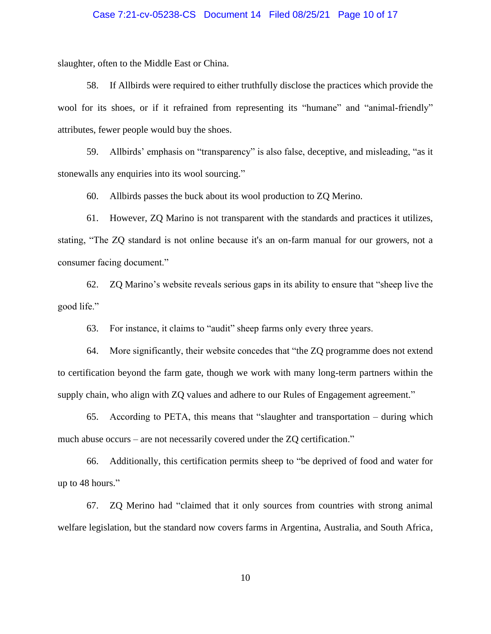#### Case 7:21-cv-05238-CS Document 14 Filed 08/25/21 Page 10 of 17

slaughter, often to the Middle East or China.

58. If Allbirds were required to either truthfully disclose the practices which provide the wool for its shoes, or if it refrained from representing its "humane" and "animal-friendly" attributes, fewer people would buy the shoes.

59. Allbirds' emphasis on "transparency" is also false, deceptive, and misleading, "as it stonewalls any enquiries into its wool sourcing."

60. Allbirds passes the buck about its wool production to ZQ Merino.

61. However, ZQ Marino is not transparent with the standards and practices it utilizes, stating, "The ZQ standard is not online because it's an on-farm manual for our growers, not a consumer facing document."

62. ZQ Marino's website reveals serious gaps in its ability to ensure that "sheep live the good life."

63. For instance, it claims to "audit" sheep farms only every three years.

64. More significantly, their website concedes that "the ZQ programme does not extend to certification beyond the farm gate, though we work with many long-term partners within the supply chain, who align with ZQ values and adhere to our Rules of Engagement agreement."

65. According to PETA, this means that "slaughter and transportation – during which much abuse occurs – are not necessarily covered under the ZQ certification."

66. Additionally, this certification permits sheep to "be deprived of food and water for up to 48 hours."

67. ZQ Merino had "claimed that it only sources from countries with strong animal welfare legislation, but the standard now covers farms in Argentina, Australia, and South Africa,

10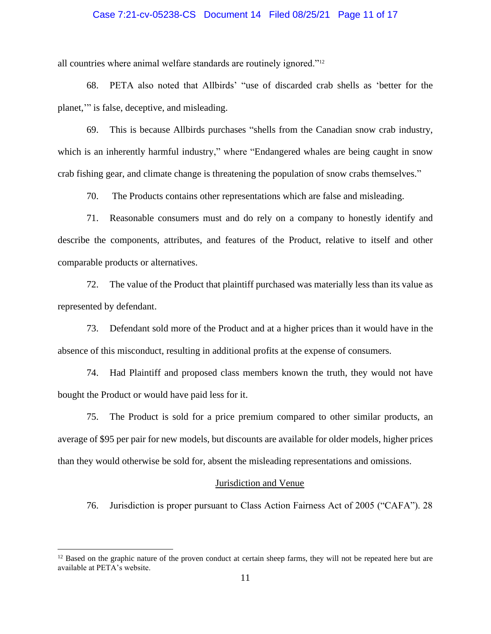#### Case 7:21-cv-05238-CS Document 14 Filed 08/25/21 Page 11 of 17

all countries where animal welfare standards are routinely ignored."<sup>12</sup>

68. PETA also noted that Allbirds' "use of discarded crab shells as 'better for the planet,'" is false, deceptive, and misleading.

69. This is because Allbirds purchases "shells from the Canadian snow crab industry, which is an inherently harmful industry," where "Endangered whales are being caught in snow crab fishing gear, and climate change is threatening the population of snow crabs themselves."

70. The Products contains other representations which are false and misleading.

71. Reasonable consumers must and do rely on a company to honestly identify and describe the components, attributes, and features of the Product, relative to itself and other comparable products or alternatives.

72. The value of the Product that plaintiff purchased was materially less than its value as represented by defendant.

73. Defendant sold more of the Product and at a higher prices than it would have in the absence of this misconduct, resulting in additional profits at the expense of consumers.

74. Had Plaintiff and proposed class members known the truth, they would not have bought the Product or would have paid less for it.

75. The Product is sold for a price premium compared to other similar products, an average of \$95 per pair for new models, but discounts are available for older models, higher prices than they would otherwise be sold for, absent the misleading representations and omissions.

#### Jurisdiction and Venue

76. Jurisdiction is proper pursuant to Class Action Fairness Act of 2005 ("CAFA"). 28

<sup>&</sup>lt;sup>12</sup> Based on the graphic nature of the proven conduct at certain sheep farms, they will not be repeated here but are available at PETA's website.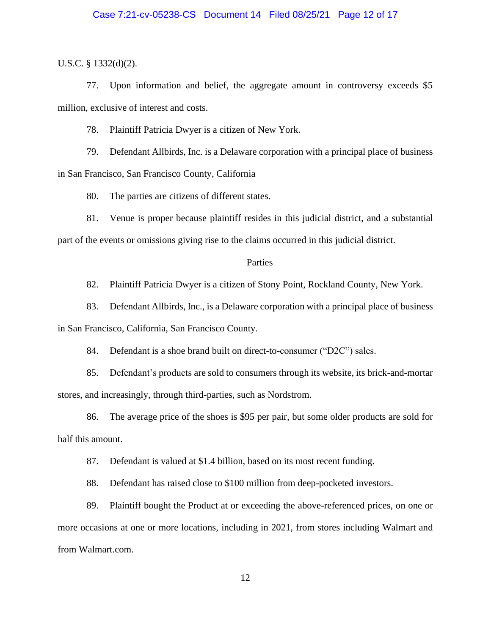#### Case 7:21-cv-05238-CS Document 14 Filed 08/25/21 Page 12 of 17

U.S.C. § 1332(d)(2).

77. Upon information and belief, the aggregate amount in controversy exceeds \$5 million, exclusive of interest and costs.

78. Plaintiff Patricia Dwyer is a citizen of New York.

79. Defendant Allbirds, Inc. is a Delaware corporation with a principal place of business in San Francisco, San Francisco County, California

80. The parties are citizens of different states.

81. Venue is proper because plaintiff resides in this judicial district, and a substantial part of the events or omissions giving rise to the claims occurred in this judicial district.

#### Parties

82. Plaintiff Patricia Dwyer is a citizen of Stony Point, Rockland County, New York.

83. Defendant Allbirds, Inc., is a Delaware corporation with a principal place of business in San Francisco, California, San Francisco County.

84. Defendant is a shoe brand built on direct-to-consumer ("D2C") sales.

85. Defendant's products are sold to consumers through its website, its brick-and-mortar stores, and increasingly, through third-parties, such as Nordstrom.

86. The average price of the shoes is \$95 per pair, but some older products are sold for half this amount.

87. Defendant is valued at \$1.4 billion, based on its most recent funding.

88. Defendant has raised close to \$100 million from deep-pocketed investors.

89. Plaintiff bought the Product at or exceeding the above-referenced prices, on one or more occasions at one or more locations, including in 2021, from stores including Walmart and from Walmart.com.

12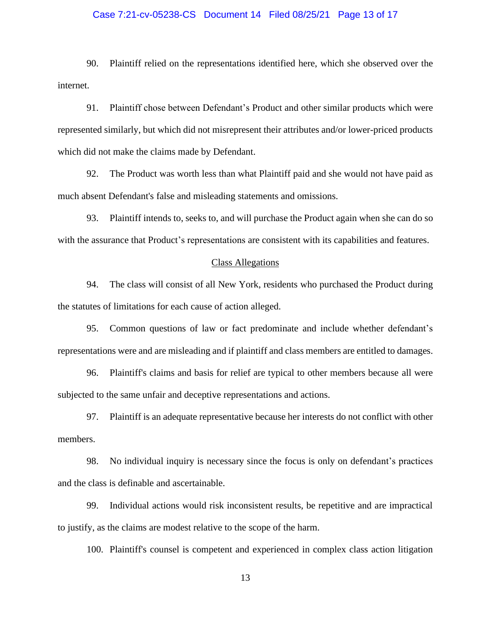#### Case 7:21-cv-05238-CS Document 14 Filed 08/25/21 Page 13 of 17

90. Plaintiff relied on the representations identified here, which she observed over the internet.

91. Plaintiff chose between Defendant's Product and other similar products which were represented similarly, but which did not misrepresent their attributes and/or lower-priced products which did not make the claims made by Defendant.

92. The Product was worth less than what Plaintiff paid and she would not have paid as much absent Defendant's false and misleading statements and omissions.

93. Plaintiff intends to, seeks to, and will purchase the Product again when she can do so with the assurance that Product's representations are consistent with its capabilities and features.

#### Class Allegations

94. The class will consist of all New York, residents who purchased the Product during the statutes of limitations for each cause of action alleged.

95. Common questions of law or fact predominate and include whether defendant's representations were and are misleading and if plaintiff and class members are entitled to damages.

96. Plaintiff's claims and basis for relief are typical to other members because all were subjected to the same unfair and deceptive representations and actions.

97. Plaintiff is an adequate representative because her interests do not conflict with other members.

98. No individual inquiry is necessary since the focus is only on defendant's practices and the class is definable and ascertainable.

99. Individual actions would risk inconsistent results, be repetitive and are impractical to justify, as the claims are modest relative to the scope of the harm.

100. Plaintiff's counsel is competent and experienced in complex class action litigation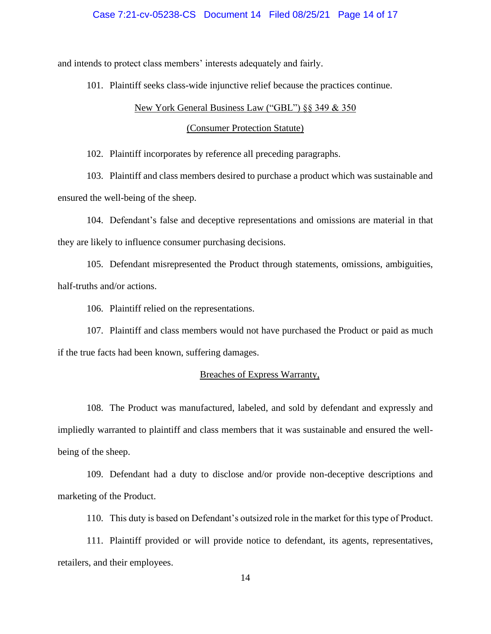#### Case 7:21-cv-05238-CS Document 14 Filed 08/25/21 Page 14 of 17

and intends to protect class members' interests adequately and fairly.

101. Plaintiff seeks class-wide injunctive relief because the practices continue.

#### New York General Business Law ("GBL") §§ 349 & 350

#### (Consumer Protection Statute)

102. Plaintiff incorporates by reference all preceding paragraphs.

103. Plaintiff and class members desired to purchase a product which was sustainable and ensured the well-being of the sheep.

104. Defendant's false and deceptive representations and omissions are material in that they are likely to influence consumer purchasing decisions.

105. Defendant misrepresented the Product through statements, omissions, ambiguities, half-truths and/or actions.

106. Plaintiff relied on the representations.

107. Plaintiff and class members would not have purchased the Product or paid as much if the true facts had been known, suffering damages.

#### Breaches of Express Warranty,

108. The Product was manufactured, labeled, and sold by defendant and expressly and impliedly warranted to plaintiff and class members that it was sustainable and ensured the wellbeing of the sheep.

109. Defendant had a duty to disclose and/or provide non-deceptive descriptions and marketing of the Product.

110. This duty is based on Defendant's outsized role in the market for this type of Product.

111. Plaintiff provided or will provide notice to defendant, its agents, representatives, retailers, and their employees.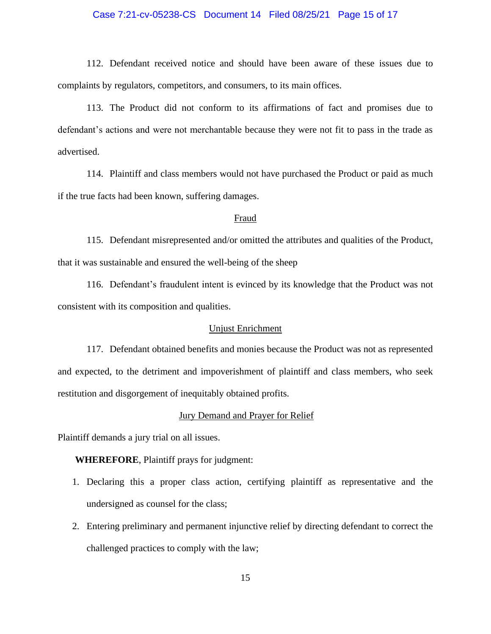#### Case 7:21-cv-05238-CS Document 14 Filed 08/25/21 Page 15 of 17

112. Defendant received notice and should have been aware of these issues due to complaints by regulators, competitors, and consumers, to its main offices.

113. The Product did not conform to its affirmations of fact and promises due to defendant's actions and were not merchantable because they were not fit to pass in the trade as advertised.

114. Plaintiff and class members would not have purchased the Product or paid as much if the true facts had been known, suffering damages.

#### Fraud

115. Defendant misrepresented and/or omitted the attributes and qualities of the Product, that it was sustainable and ensured the well-being of the sheep

116. Defendant's fraudulent intent is evinced by its knowledge that the Product was not consistent with its composition and qualities.

### Unjust Enrichment

117. Defendant obtained benefits and monies because the Product was not as represented and expected, to the detriment and impoverishment of plaintiff and class members, who seek restitution and disgorgement of inequitably obtained profits.

#### Jury Demand and Prayer for Relief

Plaintiff demands a jury trial on all issues.

**WHEREFORE**, Plaintiff prays for judgment:

- 1. Declaring this a proper class action, certifying plaintiff as representative and the undersigned as counsel for the class;
- 2. Entering preliminary and permanent injunctive relief by directing defendant to correct the challenged practices to comply with the law;